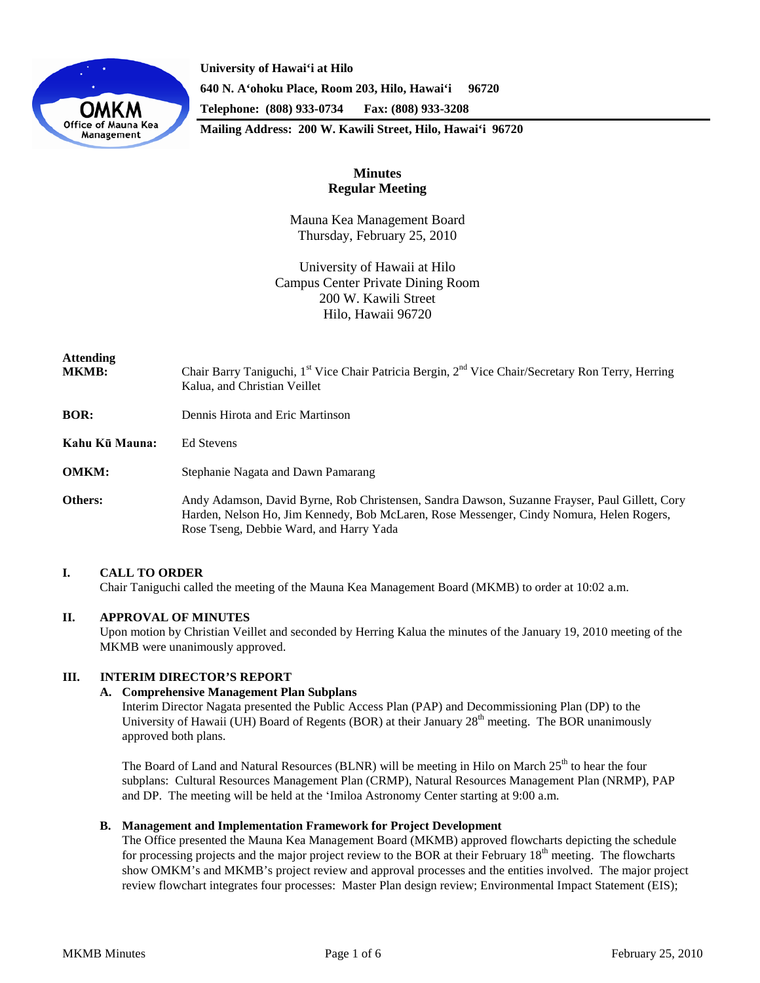

**University of Hawai'i at Hilo 640 N. A'ohoku Place, Room 203, Hilo, Hawai'i 96720 Telephone: (808) 933-0734 Fax: (808) 933-3208 Mailing Address: 200 W. Kawili Street, Hilo, Hawai'i 96720**

# **Minutes Regular Meeting**

Mauna Kea Management Board Thursday, February 25, 2010

University of Hawaii at Hilo Campus Center Private Dining Room 200 W. Kawili Street Hilo, Hawaii 96720

| <b>Attending</b><br><b>MKMB:</b> | Chair Barry Taniguchi, 1 <sup>st</sup> Vice Chair Patricia Bergin, 2 <sup>nd</sup> Vice Chair/Secretary Ron Terry, Herring<br>Kalua, and Christian Veillet                                                                            |
|----------------------------------|---------------------------------------------------------------------------------------------------------------------------------------------------------------------------------------------------------------------------------------|
| <b>BOR:</b>                      | Dennis Hirota and Eric Martinson                                                                                                                                                                                                      |
| Kahu Kū Mauna:                   | <b>Ed Stevens</b>                                                                                                                                                                                                                     |
| <b>OMKM:</b>                     | Stephanie Nagata and Dawn Pamarang                                                                                                                                                                                                    |
| <b>Others:</b>                   | Andy Adamson, David Byrne, Rob Christensen, Sandra Dawson, Suzanne Frayser, Paul Gillett, Cory<br>Harden, Nelson Ho, Jim Kennedy, Bob McLaren, Rose Messenger, Cindy Nomura, Helen Rogers,<br>Rose Tseng, Debbie Ward, and Harry Yada |

## **I. CALL TO ORDER**

Chair Taniguchi called the meeting of the Mauna Kea Management Board (MKMB) to order at 10:02 a.m.

### **II. APPROVAL OF MINUTES**

Upon motion by Christian Veillet and seconded by Herring Kalua the minutes of the January 19, 2010 meeting of the MKMB were unanimously approved.

### **III. INTERIM DIRECTOR'S REPORT**

### **A. Comprehensive Management Plan Subplans**

Interim Director Nagata presented the Public Access Plan (PAP) and Decommissioning Plan (DP) to the University of Hawaii (UH) Board of Regents (BOR) at their January 28<sup>th</sup> meeting. The BOR unanimously approved both plans.

The Board of Land and Natural Resources (BLNR) will be meeting in Hilo on March  $25<sup>th</sup>$  to hear the four subplans: Cultural Resources Management Plan (CRMP), Natural Resources Management Plan (NRMP), PAP and DP. The meeting will be held at the ʻImiloa Astronomy Center starting at 9:00 a.m.

### **B. Management and Implementation Framework for Project Development**

The Office presented the Mauna Kea Management Board (MKMB) approved flowcharts depicting the schedule for processing projects and the major project review to the BOR at their February  $18<sup>th</sup>$  meeting. The flowcharts show OMKM's and MKMB's project review and approval processes and the entities involved. The major project review flowchart integrates four processes: Master Plan design review; Environmental Impact Statement (EIS);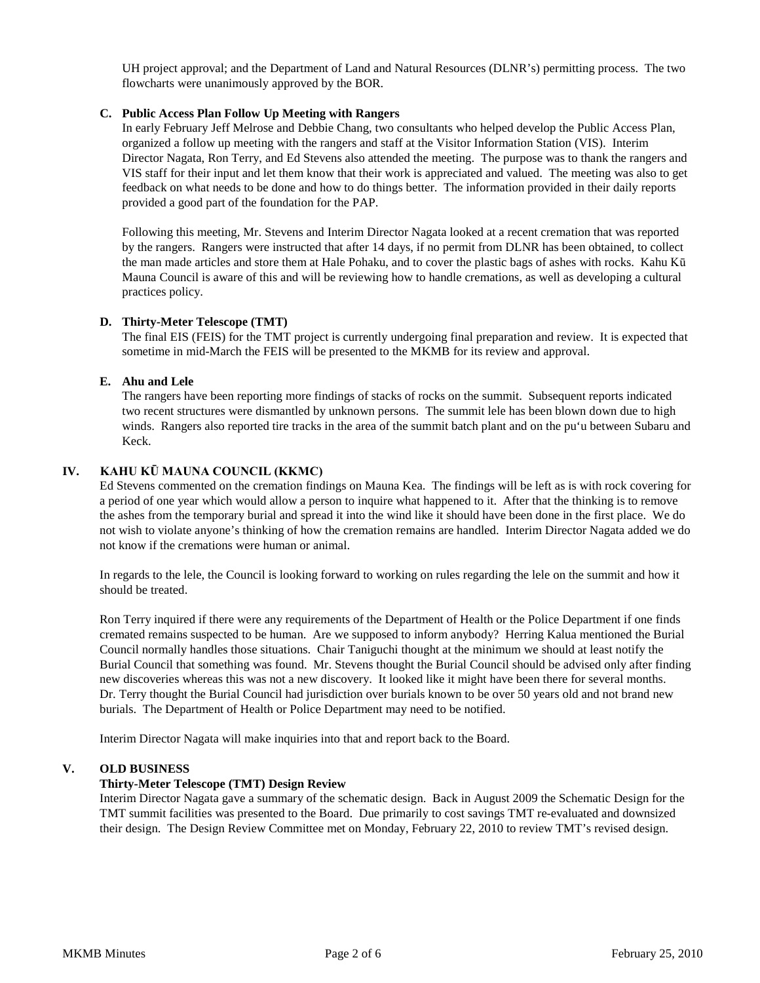UH project approval; and the Department of Land and Natural Resources (DLNR's) permitting process. The two flowcharts were unanimously approved by the BOR.

### **C. Public Access Plan Follow Up Meeting with Rangers**

In early February Jeff Melrose and Debbie Chang, two consultants who helped develop the Public Access Plan, organized a follow up meeting with the rangers and staff at the Visitor Information Station (VIS). Interim Director Nagata, Ron Terry, and Ed Stevens also attended the meeting. The purpose was to thank the rangers and VIS staff for their input and let them know that their work is appreciated and valued. The meeting was also to get feedback on what needs to be done and how to do things better. The information provided in their daily reports provided a good part of the foundation for the PAP.

Following this meeting, Mr. Stevens and Interim Director Nagata looked at a recent cremation that was reported by the rangers. Rangers were instructed that after 14 days, if no permit from DLNR has been obtained, to collect the man made articles and store them at Hale Pohaku, and to cover the plastic bags of ashes with rocks. Kahu Kū Mauna Council is aware of this and will be reviewing how to handle cremations, as well as developing a cultural practices policy.

### **D. Thirty-Meter Telescope (TMT)**

The final EIS (FEIS) for the TMT project is currently undergoing final preparation and review. It is expected that sometime in mid-March the FEIS will be presented to the MKMB for its review and approval.

## **E. Ahu and Lele**

The rangers have been reporting more findings of stacks of rocks on the summit. Subsequent reports indicated two recent structures were dismantled by unknown persons. The summit lele has been blown down due to high winds. Rangers also reported tire tracks in the area of the summit batch plant and on the pu'u between Subaru and Keck.

## **IV. KAHU KŪ MAUNA COUNCIL (KKMC)**

Ed Stevens commented on the cremation findings on Mauna Kea. The findings will be left as is with rock covering for a period of one year which would allow a person to inquire what happened to it. After that the thinking is to remove the ashes from the temporary burial and spread it into the wind like it should have been done in the first place. We do not wish to violate anyone's thinking of how the cremation remains are handled. Interim Director Nagata added we do not know if the cremations were human or animal.

In regards to the lele, the Council is looking forward to working on rules regarding the lele on the summit and how it should be treated.

Ron Terry inquired if there were any requirements of the Department of Health or the Police Department if one finds cremated remains suspected to be human. Are we supposed to inform anybody? Herring Kalua mentioned the Burial Council normally handles those situations. Chair Taniguchi thought at the minimum we should at least notify the Burial Council that something was found. Mr. Stevens thought the Burial Council should be advised only after finding new discoveries whereas this was not a new discovery. It looked like it might have been there for several months. Dr. Terry thought the Burial Council had jurisdiction over burials known to be over 50 years old and not brand new burials. The Department of Health or Police Department may need to be notified.

Interim Director Nagata will make inquiries into that and report back to the Board.

### **V. OLD BUSINESS**

### **Thirty-Meter Telescope (TMT) Design Review**

Interim Director Nagata gave a summary of the schematic design. Back in August 2009 the Schematic Design for the TMT summit facilities was presented to the Board. Due primarily to cost savings TMT re-evaluated and downsized their design. The Design Review Committee met on Monday, February 22, 2010 to review TMT's revised design.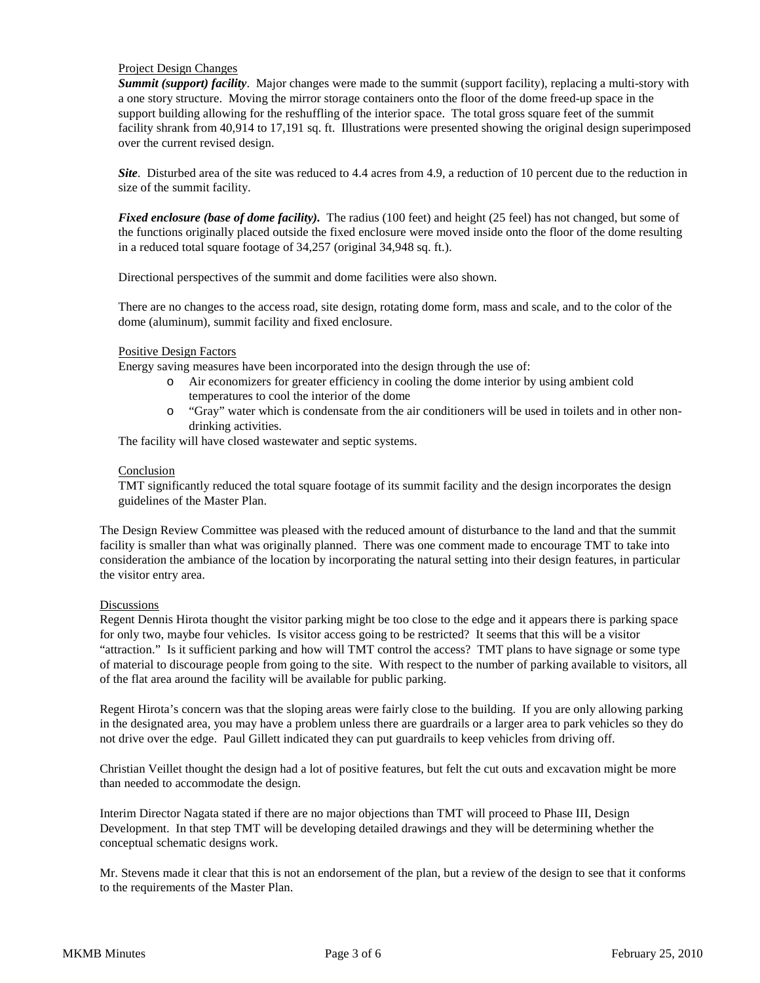### Project Design Changes

*Summit (support) facility*. Major changes were made to the summit (support facility), replacing a multi-story with a one story structure. Moving the mirror storage containers onto the floor of the dome freed-up space in the support building allowing for the reshuffling of the interior space. The total gross square feet of the summit facility shrank from 40,914 to 17,191 sq. ft. Illustrations were presented showing the original design superimposed over the current revised design.

*Site*. Disturbed area of the site was reduced to 4.4 acres from 4.9, a reduction of 10 percent due to the reduction in size of the summit facility.

*Fixed enclosure (base of dome facility)*. The radius (100 feet) and height (25 feel) has not changed, but some of the functions originally placed outside the fixed enclosure were moved inside onto the floor of the dome resulting in a reduced total square footage of 34,257 (original 34,948 sq. ft.).

Directional perspectives of the summit and dome facilities were also shown.

There are no changes to the access road, site design, rotating dome form, mass and scale, and to the color of the dome (aluminum), summit facility and fixed enclosure.

### Positive Design Factors

Energy saving measures have been incorporated into the design through the use of:

- o Air economizers for greater efficiency in cooling the dome interior by using ambient cold temperatures to cool the interior of the dome
- o "Gray" water which is condensate from the air conditioners will be used in toilets and in other nondrinking activities.

The facility will have closed wastewater and septic systems.

#### Conclusion

TMT significantly reduced the total square footage of its summit facility and the design incorporates the design guidelines of the Master Plan.

The Design Review Committee was pleased with the reduced amount of disturbance to the land and that the summit facility is smaller than what was originally planned. There was one comment made to encourage TMT to take into consideration the ambiance of the location by incorporating the natural setting into their design features, in particular the visitor entry area.

#### **Discussions**

Regent Dennis Hirota thought the visitor parking might be too close to the edge and it appears there is parking space for only two, maybe four vehicles. Is visitor access going to be restricted? It seems that this will be a visitor "attraction." Is it sufficient parking and how will TMT control the access? TMT plans to have signage or some type of material to discourage people from going to the site. With respect to the number of parking available to visitors, all of the flat area around the facility will be available for public parking.

Regent Hirota's concern was that the sloping areas were fairly close to the building. If you are only allowing parking in the designated area, you may have a problem unless there are guardrails or a larger area to park vehicles so they do not drive over the edge. Paul Gillett indicated they can put guardrails to keep vehicles from driving off.

Christian Veillet thought the design had a lot of positive features, but felt the cut outs and excavation might be more than needed to accommodate the design.

Interim Director Nagata stated if there are no major objections than TMT will proceed to Phase III, Design Development. In that step TMT will be developing detailed drawings and they will be determining whether the conceptual schematic designs work.

Mr. Stevens made it clear that this is not an endorsement of the plan, but a review of the design to see that it conforms to the requirements of the Master Plan.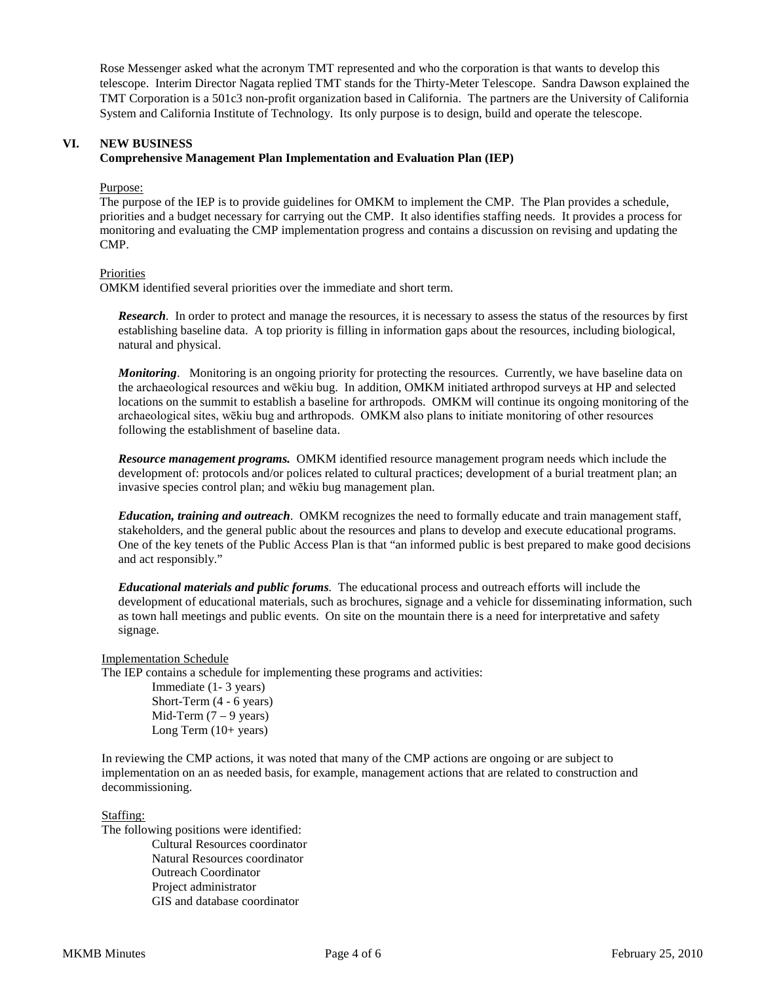Rose Messenger asked what the acronym TMT represented and who the corporation is that wants to develop this telescope. Interim Director Nagata replied TMT stands for the Thirty-Meter Telescope. Sandra Dawson explained the TMT Corporation is a 501c3 non-profit organization based in California. The partners are the University of California System and California Institute of Technology. Its only purpose is to design, build and operate the telescope.

## **VI. NEW BUSINESS Comprehensive Management Plan Implementation and Evaluation Plan (IEP)**

Purpose:

The purpose of the IEP is to provide guidelines for OMKM to implement the CMP. The Plan provides a schedule, priorities and a budget necessary for carrying out the CMP. It also identifies staffing needs. It provides a process for monitoring and evaluating the CMP implementation progress and contains a discussion on revising and updating the CMP.

**Priorities** 

OMKM identified several priorities over the immediate and short term.

*Research*. In order to protect and manage the resources, it is necessary to assess the status of the resources by first establishing baseline data. A top priority is filling in information gaps about the resources, including biological, natural and physical.

*Monitoring*. Monitoring is an ongoing priority for protecting the resources. Currently, we have baseline data on the archaeological resources and wēkiu bug. In addition, OMKM initiated arthropod surveys at HP and selected locations on the summit to establish a baseline for arthropods. OMKM will continue its ongoing monitoring of the archaeological sites, wēkiu bug and arthropods. OMKM also plans to initiate monitoring of other resources following the establishment of baseline data.

*Resource management programs.* OMKM identified resource management program needs which include the development of: protocols and/or polices related to cultural practices; development of a burial treatment plan; an invasive species control plan; and wēkiu bug management plan.

*Education, training and outreach*. OMKM recognizes the need to formally educate and train management staff, stakeholders, and the general public about the resources and plans to develop and execute educational programs. One of the key tenets of the Public Access Plan is that "an informed public is best prepared to make good decisions and act responsibly."

*Educational materials and public forums.* The educational process and outreach efforts will include the development of educational materials, such as brochures, signage and a vehicle for disseminating information, such as town hall meetings and public events. On site on the mountain there is a need for interpretative and safety signage.

Implementation Schedule

The IEP contains a schedule for implementing these programs and activities:

Immediate (1- 3 years) Short-Term (4 - 6 years) Mid-Term  $(7 - 9$  years) Long Term (10+ years)

In reviewing the CMP actions, it was noted that many of the CMP actions are ongoing or are subject to implementation on an as needed basis, for example, management actions that are related to construction and decommissioning.

Staffing:

The following positions were identified: Cultural Resources coordinator Natural Resources coordinator Outreach Coordinator Project administrator GIS and database coordinator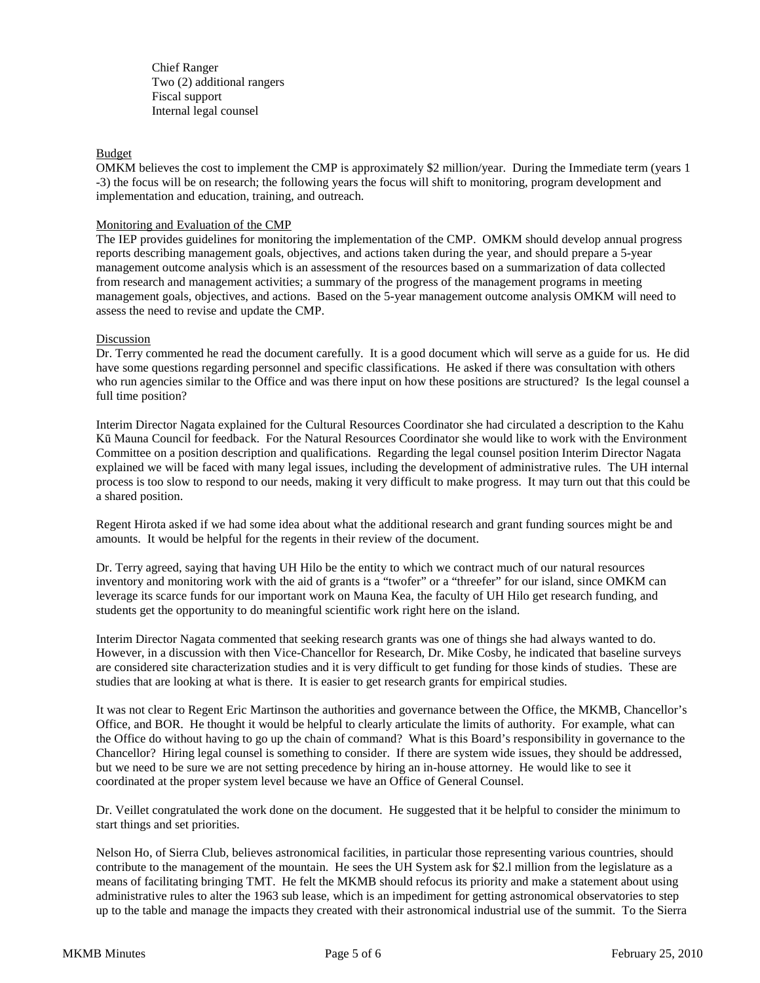Chief Ranger Two (2) additional rangers Fiscal support Internal legal counsel

#### Budget

OMKM believes the cost to implement the CMP is approximately \$2 million/year. During the Immediate term (years 1 -3) the focus will be on research; the following years the focus will shift to monitoring, program development and implementation and education, training, and outreach.

#### Monitoring and Evaluation of the CMP

The IEP provides guidelines for monitoring the implementation of the CMP. OMKM should develop annual progress reports describing management goals, objectives, and actions taken during the year, and should prepare a 5-year management outcome analysis which is an assessment of the resources based on a summarization of data collected from research and management activities; a summary of the progress of the management programs in meeting management goals, objectives, and actions. Based on the 5-year management outcome analysis OMKM will need to assess the need to revise and update the CMP.

#### Discussion

Dr. Terry commented he read the document carefully. It is a good document which will serve as a guide for us. He did have some questions regarding personnel and specific classifications. He asked if there was consultation with others who run agencies similar to the Office and was there input on how these positions are structured? Is the legal counsel a full time position?

Interim Director Nagata explained for the Cultural Resources Coordinator she had circulated a description to the Kahu Kū Mauna Council for feedback. For the Natural Resources Coordinator she would like to work with the Environment Committee on a position description and qualifications. Regarding the legal counsel position Interim Director Nagata explained we will be faced with many legal issues, including the development of administrative rules. The UH internal process is too slow to respond to our needs, making it very difficult to make progress. It may turn out that this could be a shared position.

Regent Hirota asked if we had some idea about what the additional research and grant funding sources might be and amounts. It would be helpful for the regents in their review of the document.

Dr. Terry agreed, saying that having UH Hilo be the entity to which we contract much of our natural resources inventory and monitoring work with the aid of grants is a "twofer" or a "threefer" for our island, since OMKM can leverage its scarce funds for our important work on Mauna Kea, the faculty of UH Hilo get research funding, and students get the opportunity to do meaningful scientific work right here on the island.

Interim Director Nagata commented that seeking research grants was one of things she had always wanted to do. However, in a discussion with then Vice-Chancellor for Research, Dr. Mike Cosby, he indicated that baseline surveys are considered site characterization studies and it is very difficult to get funding for those kinds of studies. These are studies that are looking at what is there. It is easier to get research grants for empirical studies.

It was not clear to Regent Eric Martinson the authorities and governance between the Office, the MKMB, Chancellor's Office, and BOR. He thought it would be helpful to clearly articulate the limits of authority. For example, what can the Office do without having to go up the chain of command? What is this Board's responsibility in governance to the Chancellor? Hiring legal counsel is something to consider. If there are system wide issues, they should be addressed, but we need to be sure we are not setting precedence by hiring an in-house attorney. He would like to see it coordinated at the proper system level because we have an Office of General Counsel.

Dr. Veillet congratulated the work done on the document. He suggested that it be helpful to consider the minimum to start things and set priorities.

Nelson Ho, of Sierra Club, believes astronomical facilities, in particular those representing various countries, should contribute to the management of the mountain. He sees the UH System ask for \$2.l million from the legislature as a means of facilitating bringing TMT. He felt the MKMB should refocus its priority and make a statement about using administrative rules to alter the 1963 sub lease, which is an impediment for getting astronomical observatories to step up to the table and manage the impacts they created with their astronomical industrial use of the summit. To the Sierra